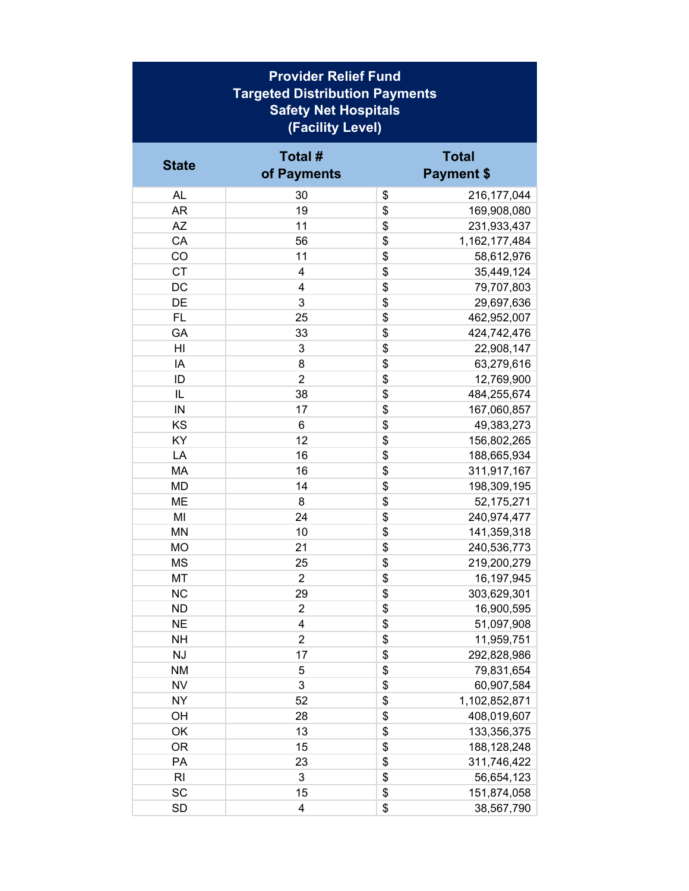| <b>Provider Relief Fund</b><br><b>Targeted Distribution Payments</b><br><b>Safety Net Hospitals</b><br>(Facility Level) |                         |    |                                   |  |
|-------------------------------------------------------------------------------------------------------------------------|-------------------------|----|-----------------------------------|--|
| <b>State</b>                                                                                                            | Total #<br>of Payments  |    | <b>Total</b><br><b>Payment \$</b> |  |
| <b>AL</b>                                                                                                               | 30                      | \$ | 216, 177, 044                     |  |
| <b>AR</b>                                                                                                               | 19                      | \$ | 169,908,080                       |  |
| <b>AZ</b>                                                                                                               | 11                      | \$ | 231,933,437                       |  |
| CA                                                                                                                      | 56                      | \$ | 1,162,177,484                     |  |
| CO                                                                                                                      | 11                      | \$ | 58,612,976                        |  |
| <b>CT</b>                                                                                                               | 4                       | \$ | 35,449,124                        |  |
| DC                                                                                                                      | 4                       | \$ | 79,707,803                        |  |
| DE                                                                                                                      | 3                       | \$ | 29,697,636                        |  |
| <b>FL</b>                                                                                                               | 25                      | \$ | 462,952,007                       |  |
| GA                                                                                                                      | 33                      | \$ | 424,742,476                       |  |
| HI                                                                                                                      | 3                       | \$ | 22,908,147                        |  |
| IA                                                                                                                      | 8                       | \$ | 63,279,616                        |  |
| ID                                                                                                                      | $\overline{2}$          | \$ | 12,769,900                        |  |
| IL                                                                                                                      | 38                      | \$ | 484,255,674                       |  |
| IN                                                                                                                      | 17                      | \$ | 167,060,857                       |  |
| KS                                                                                                                      | 6                       | \$ | 49,383,273                        |  |
| KY                                                                                                                      | 12                      | \$ | 156,802,265                       |  |
| LA                                                                                                                      | 16                      | \$ | 188,665,934                       |  |
| MA                                                                                                                      | 16                      | \$ | 311,917,167                       |  |
| MD                                                                                                                      | 14                      | \$ | 198,309,195                       |  |
| ME                                                                                                                      | 8                       | \$ | 52,175,271                        |  |
| MI                                                                                                                      | 24                      | \$ | 240,974,477                       |  |
| <b>MN</b>                                                                                                               | 10                      | \$ | 141,359,318                       |  |
| MO                                                                                                                      | 21                      | \$ | 240,536,773                       |  |
| MS                                                                                                                      | 25                      | \$ | 219,200,279                       |  |
| <b>MT</b>                                                                                                               | $\overline{c}$          | \$ | 16,197,945                        |  |
| <b>NC</b>                                                                                                               | 29                      | \$ | 303,629,301                       |  |
| <b>ND</b>                                                                                                               | $\overline{2}$          | \$ | 16,900,595                        |  |
| <b>NE</b>                                                                                                               | $\overline{\mathbf{4}}$ | \$ | 51,097,908                        |  |
| <b>NH</b>                                                                                                               | $\overline{2}$          | \$ | 11,959,751                        |  |
| <b>NJ</b>                                                                                                               | 17                      | \$ | 292,828,986                       |  |
| <b>NM</b>                                                                                                               | 5                       | \$ | 79,831,654                        |  |
| <b>NV</b>                                                                                                               | 3                       | \$ | 60,907,584                        |  |
| <b>NY</b>                                                                                                               | 52                      | \$ | 1,102,852,871                     |  |
| OH                                                                                                                      | 28                      | \$ | 408,019,607                       |  |
| OK                                                                                                                      | 13                      | \$ | 133,356,375                       |  |
| <b>OR</b>                                                                                                               | 15                      | \$ | 188, 128, 248                     |  |
| PA                                                                                                                      | 23                      | \$ | 311,746,422                       |  |
| R <sub>l</sub>                                                                                                          | 3                       | \$ | 56,654,123                        |  |
| SC                                                                                                                      | 15                      | \$ | 151,874,058                       |  |
| SD                                                                                                                      | $\overline{\mathbf{4}}$ | \$ | 38,567,790                        |  |